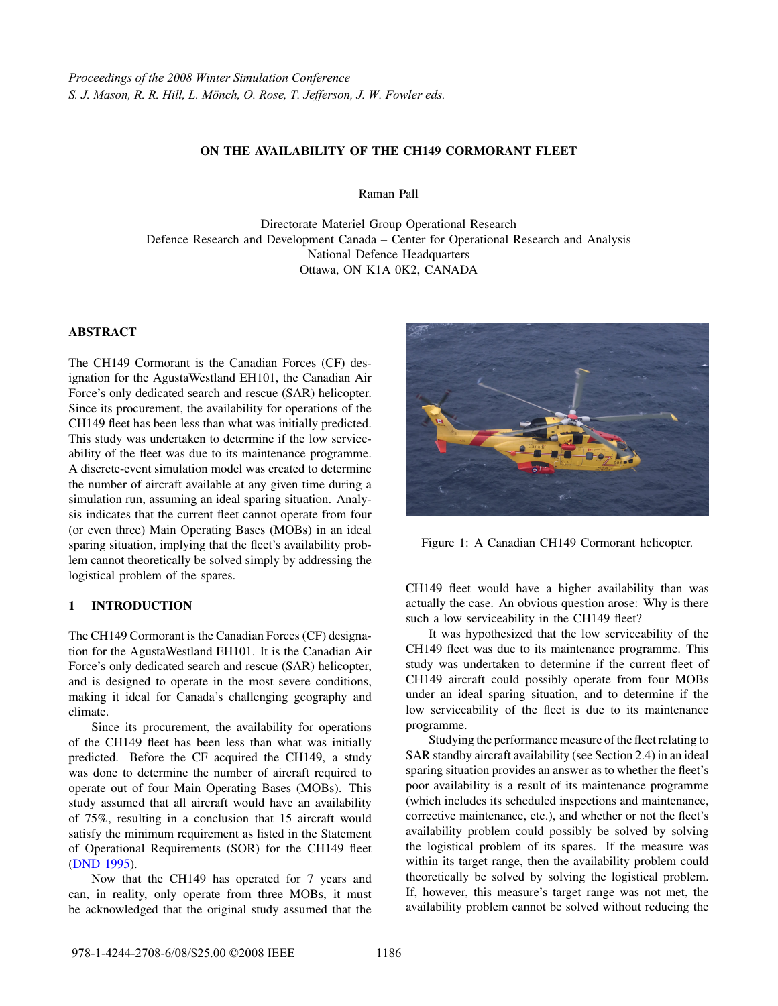## ON THE AVAILABILITY OF THE CH149 CORMORANT FLEET

Raman Pall

Directorate Materiel Group Operational Research Defence Research and Development Canada – Center for Operational Research and Analysis National Defence Headquarters Ottawa, ON K1A 0K2, CANADA

### ABSTRACT

The CH149 Cormorant is the Canadian Forces (CF) designation for the AgustaWestland EH101, the Canadian Air Force's only dedicated search and rescue (SAR) helicopter. Since its procurement, the availability for operations of the CH149 fleet has been less than what was initially predicted. This study was undertaken to determine if the low serviceability of the fleet was due to its maintenance programme. A discrete-event simulation model was created to determine the number of aircraft available at any given time during a simulation run, assuming an ideal sparing situation. Analysis indicates that the current fleet cannot operate from four (or even three) Main Operating Bases (MOBs) in an ideal sparing situation, implying that the fleet's availability problem cannot theoretically be solved simply by addressing the logistical problem of the spares.

## 1 INTRODUCTION

The CH149 Cormorant is the Canadian Forces (CF) designation for the AgustaWestland EH101. It is the Canadian Air Force's only dedicated search and rescue (SAR) helicopter, and is designed to operate in the most severe conditions, making it ideal for Canada's challenging geography and climate.

Since its procurement, the availability for operations of the CH149 fleet has been less than what was initially predicted. Before the CF acquired the CH149, a study was done to determine the number of aircraft required to operate out of four Main Operating Bases (MOBs). This study assumed that all aircraft would have an availability of 75%, resulting in a conclusion that 15 aircraft would satisfy the minimum requirement as listed in the Statement of Operational Requirements (SOR) for the CH149 fleet (DND 1995).

Now that the CH149 has operated for 7 years and can, in reality, only operate from three MOBs, it must be acknowledged that the original study assumed that the



Figure 1: A Canadian CH149 Cormorant helicopter.

CH149 fleet would have a higher availability than was actually the case. An obvious question arose: Why is there such a low serviceability in the CH149 fleet?

It was hypothesized that the low serviceability of the CH149 fleet was due to its maintenance programme. This study was undertaken to determine if the current fleet of CH149 aircraft could possibly operate from four MOBs under an ideal sparing situation, and to determine if the low serviceability of the fleet is due to its maintenance programme.

Studying the performance measure of the fleet relating to SAR standby aircraft availability (see Section 2.4) in an ideal sparing situation provides an answer as to whether the fleet's poor availability is a result of its maintenance programme (which includes its scheduled inspections and maintenance, corrective maintenance, etc.), and whether or not the fleet's availability problem could possibly be solved by solving the logistical problem of its spares. If the measure was within its target range, then the availability problem could theoretically be solved by solving the logistical problem. If, however, this measure's target range was not met, the availability problem cannot be solved without reducing the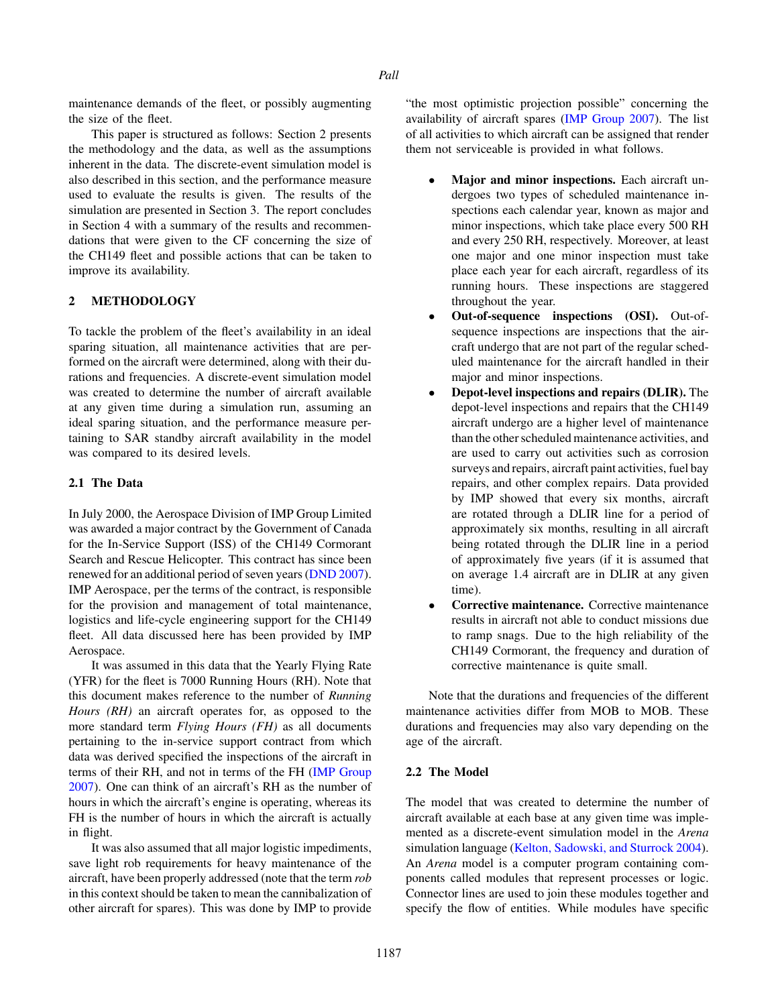maintenance demands of the fleet, or possibly augmenting the size of the fleet.

This paper is structured as follows: Section 2 presents the methodology and the data, as well as the assumptions inherent in the data. The discrete-event simulation model is also described in this section, and the performance measure used to evaluate the results is given. The results of the simulation are presented in Section 3. The report concludes in Section 4 with a summary of the results and recommendations that were given to the CF concerning the size of the CH149 fleet and possible actions that can be taken to improve its availability.

# 2 METHODOLOGY

To tackle the problem of the fleet's availability in an ideal sparing situation, all maintenance activities that are performed on the aircraft were determined, along with their durations and frequencies. A discrete-event simulation model was created to determine the number of aircraft available at any given time during a simulation run, assuming an ideal sparing situation, and the performance measure pertaining to SAR standby aircraft availability in the model was compared to its desired levels.

## 2.1 The Data

In July 2000, the Aerospace Division of IMP Group Limited was awarded a major contract by the Government of Canada for the In-Service Support (ISS) of the CH149 Cormorant Search and Rescue Helicopter. This contract has since been renewed for an additional period of seven years (DND 2007). IMP Aerospace, per the terms of the contract, is responsible for the provision and management of total maintenance, logistics and life-cycle engineering support for the CH149 fleet. All data discussed here has been provided by IMP Aerospace.

It was assumed in this data that the Yearly Flying Rate (YFR) for the fleet is 7000 Running Hours (RH). Note that this document makes reference to the number of *Running Hours (RH)* an aircraft operates for, as opposed to the more standard term *Flying Hours (FH)* as all documents pertaining to the in-service support contract from which data was derived specified the inspections of the aircraft in terms of their RH, and not in terms of the FH (IMP Group 2007). One can think of an aircraft's RH as the number of hours in which the aircraft's engine is operating, whereas its FH is the number of hours in which the aircraft is actually in flight.

It was also assumed that all major logistic impediments, save light rob requirements for heavy maintenance of the aircraft, have been properly addressed (note that the term *rob* in this context should be taken to mean the cannibalization of other aircraft for spares). This was done by IMP to provide

"the most optimistic projection possible" concerning the availability of aircraft spares (IMP Group 2007). The list of all activities to which aircraft can be assigned that render them not serviceable is provided in what follows.

- Major and minor inspections. Each aircraft undergoes two types of scheduled maintenance inspections each calendar year, known as major and minor inspections, which take place every 500 RH and every 250 RH, respectively. Moreover, at least one major and one minor inspection must take place each year for each aircraft, regardless of its running hours. These inspections are staggered throughout the year.
- Out-of-sequence inspections (OSI). Out-ofsequence inspections are inspections that the aircraft undergo that are not part of the regular scheduled maintenance for the aircraft handled in their major and minor inspections.
- Depot-level inspections and repairs (DLIR). The depot-level inspections and repairs that the CH149 aircraft undergo are a higher level of maintenance than the other scheduled maintenance activities, and are used to carry out activities such as corrosion surveys and repairs, aircraft paint activities, fuel bay repairs, and other complex repairs. Data provided by IMP showed that every six months, aircraft are rotated through a DLIR line for a period of approximately six months, resulting in all aircraft being rotated through the DLIR line in a period of approximately five years (if it is assumed that on average 1.4 aircraft are in DLIR at any given time).
- Corrective maintenance. Corrective maintenance results in aircraft not able to conduct missions due to ramp snags. Due to the high reliability of the CH149 Cormorant, the frequency and duration of corrective maintenance is quite small.

Note that the durations and frequencies of the different maintenance activities differ from MOB to MOB. These durations and frequencies may also vary depending on the age of the aircraft.

### 2.2 The Model

The model that was created to determine the number of aircraft available at each base at any given time was implemented as a discrete-event simulation model in the *Arena* simulation language (Kelton, Sadowski, and Sturrock 2004). An *Arena* model is a computer program containing components called modules that represent processes or logic. Connector lines are used to join these modules together and specify the flow of entities. While modules have specific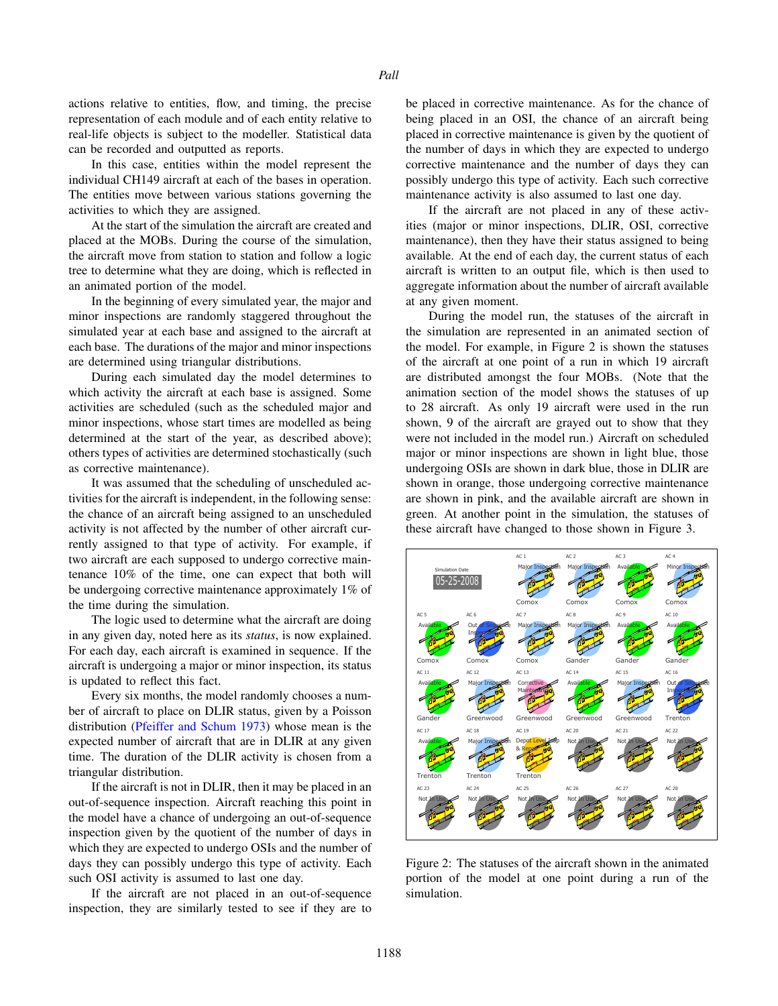actions relative to entities, flow, and timing, the precise representation of each module and of each entity relative to real-life objects is subject to the modeller. Statistical data can be recorded and outputted as reports.

In this case, entities within the model represent the individual CH149 aircraft at each of the bases in operation. The entities move between various stations governing the activities to which they are assigned.

At the start of the simulation the aircraft are created and placed at the MOBs. During the course of the simulation, the aircraft move from station to station and follow a logic tree to determine what they are doing, which is reflected in an animated portion of the model.

In the beginning of every simulated year, the major and minor inspections are randomly staggered throughout the simulated year at each base and assigned to the aircraft at each base. The durations of the major and minor inspections are determined using triangular distributions.

During each simulated day the model determines to which activity the aircraft at each base is assigned. Some activities are scheduled (such as the scheduled major and minor inspections, whose start times are modelled as being determined at the start of the year, as described above); others types of activities are determined stochastically (such as corrective maintenance).

It was assumed that the scheduling of unscheduled activities for the aircraft is independent, in the following sense: the chance of an aircraft being assigned to an unscheduled activity is not affected by the number of other aircraft currently assigned to that type of activity. For example, if two aircraft are each supposed to undergo corrective maintenance 10% of the time, one can expect that both will be undergoing corrective maintenance approximately 1% of the time during the simulation.

The logic used to determine what the aircraft are doing in any given day, noted here as its *status*, is now explained. For each day, each aircraft is examined in sequence. If the aircraft is undergoing a major or minor inspection, its status is updated to reflect this fact.

Every six months, the model randomly chooses a number of aircraft to place on DLIR status, given by a Poisson distribution (Pfeiffer and Schum 1973) whose mean is the expected number of aircraft that are in DLIR at any given time. The duration of the DLIR activity is chosen from a triangular distribution.

If the aircraft is not in DLIR, then it may be placed in an out-of-sequence inspection. Aircraft reaching this point in the model have a chance of undergoing an out-of-sequence inspection given by the quotient of the number of days in which they are expected to undergo OSIs and the number of days they can possibly undergo this type of activity. Each such OSI activity is assumed to last one day.

If the aircraft are not placed in an out-of-sequence inspection, they are similarly tested to see if they are to

be placed in corrective maintenance. As for the chance of being placed in an OSI, the chance of an aircraft being placed in corrective maintenance is given by the quotient of the number of days in which they are expected to undergo corrective maintenance and the number of days they can possibly undergo this type of activity. Each such corrective maintenance activity is also assumed to last one day.

If the aircraft are not placed in any of these activities (major or minor inspections, DLIR, OSI, corrective maintenance), then they have their status assigned to being available. At the end of each day, the current status of each aircraft is written to an output file, which is then used to aggregate information about the number of aircraft available at any given moment.

During the model run, the statuses of the aircraft in the simulation are represented in an animated section of the model. For example, in Figure 2 is shown the statuses of the aircraft at one point of a run in which 19 aircraft are distributed amongst the four MOBs. (Note that the animation section of the model shows the statuses of up to 28 aircraft. As only 19 aircraft were used in the run shown, 9 of the aircraft are grayed out to show that they were not included in the model run.) Aircraft on scheduled major or minor inspections are shown in light blue, those undergoing OSIs are shown in dark blue, those in DLIR are shown in orange, those undergoing corrective maintenance are shown in pink, and the available aircraft are shown in green. At another point in the simulation, the statuses of these aircraft have changed to those shown in Figure 3.



Figure 2: The statuses of the aircraft shown in the animated portion of the model at one point during a run of the simulation.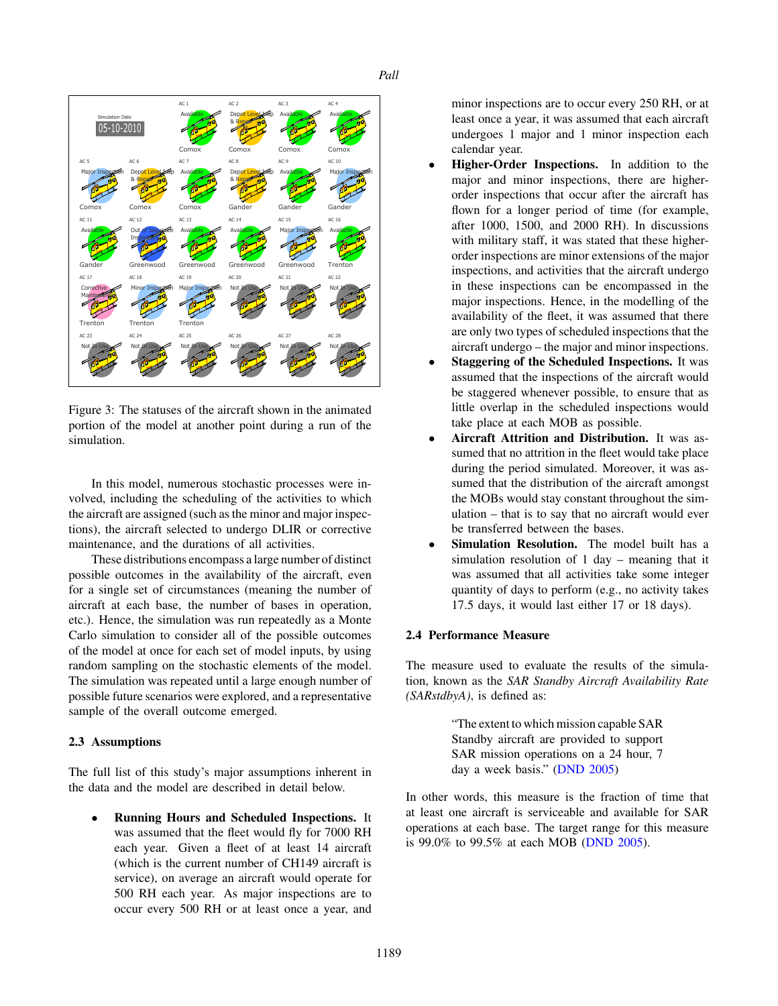*Pall*



Figure 3: The statuses of the aircraft shown in the animated portion of the model at another point during a run of the simulation.

In this model, numerous stochastic processes were involved, including the scheduling of the activities to which the aircraft are assigned (such as the minor and major inspections), the aircraft selected to undergo DLIR or corrective maintenance, and the durations of all activities.

These distributions encompass a large number of distinct possible outcomes in the availability of the aircraft, even for a single set of circumstances (meaning the number of aircraft at each base, the number of bases in operation, etc.). Hence, the simulation was run repeatedly as a Monte Carlo simulation to consider all of the possible outcomes of the model at once for each set of model inputs, by using random sampling on the stochastic elements of the model. The simulation was repeated until a large enough number of possible future scenarios were explored, and a representative sample of the overall outcome emerged.

### 2.3 Assumptions

The full list of this study's major assumptions inherent in the data and the model are described in detail below.

• Running Hours and Scheduled Inspections. It was assumed that the fleet would fly for 7000 RH each year. Given a fleet of at least 14 aircraft (which is the current number of CH149 aircraft is service), on average an aircraft would operate for 500 RH each year. As major inspections are to occur every 500 RH or at least once a year, and

minor inspections are to occur every 250 RH, or at least once a year, it was assumed that each aircraft undergoes 1 major and 1 minor inspection each calendar year.

- Higher-Order Inspections. In addition to the major and minor inspections, there are higherorder inspections that occur after the aircraft has flown for a longer period of time (for example, after 1000, 1500, and 2000 RH). In discussions with military staff, it was stated that these higherorder inspections are minor extensions of the major inspections, and activities that the aircraft undergo in these inspections can be encompassed in the major inspections. Hence, in the modelling of the availability of the fleet, it was assumed that there are only two types of scheduled inspections that the aircraft undergo – the major and minor inspections.
- **Staggering of the Scheduled Inspections.** It was assumed that the inspections of the aircraft would be staggered whenever possible, to ensure that as little overlap in the scheduled inspections would take place at each MOB as possible.
- Aircraft Attrition and Distribution. It was assumed that no attrition in the fleet would take place during the period simulated. Moreover, it was assumed that the distribution of the aircraft amongst the MOBs would stay constant throughout the simulation – that is to say that no aircraft would ever be transferred between the bases.
- Simulation Resolution. The model built has a simulation resolution of 1 day – meaning that it was assumed that all activities take some integer quantity of days to perform (e.g., no activity takes 17.5 days, it would last either 17 or 18 days).

## 2.4 Performance Measure

The measure used to evaluate the results of the simulation, known as the *SAR Standby Aircraft Availability Rate (SARstdbyA)*, is defined as:

> "The extent to which mission capable SAR Standby aircraft are provided to support SAR mission operations on a 24 hour, 7 day a week basis." (DND 2005)

In other words, this measure is the fraction of time that at least one aircraft is serviceable and available for SAR operations at each base. The target range for this measure is 99.0% to 99.5% at each MOB (DND 2005).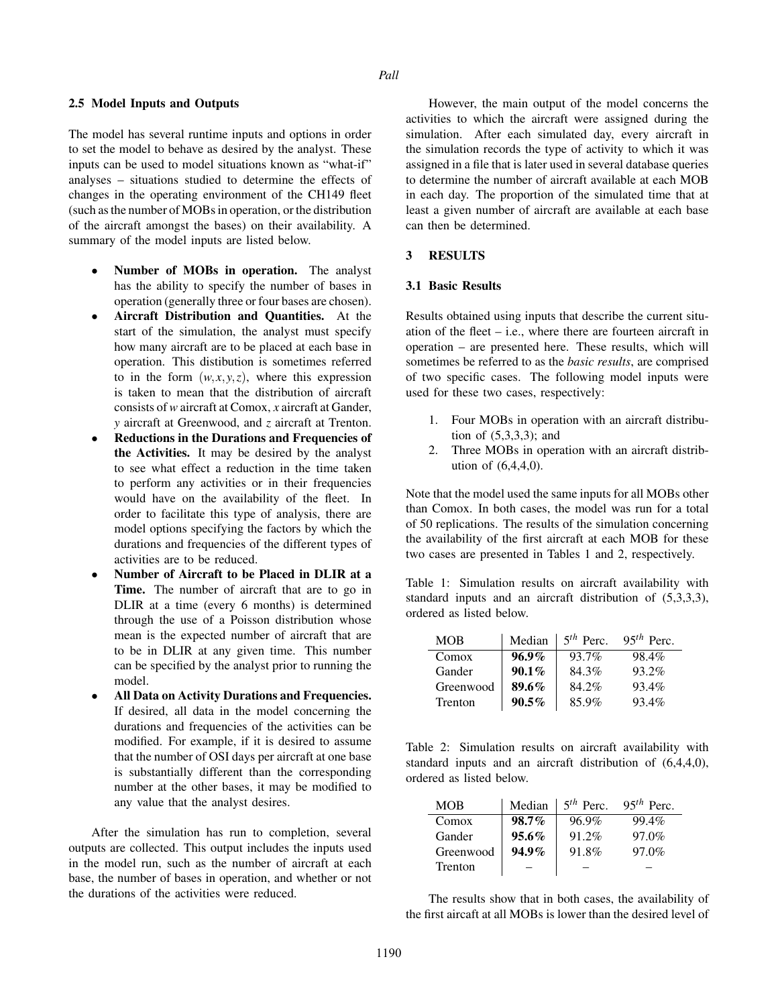### *Pall*

#### 2.5 Model Inputs and Outputs

The model has several runtime inputs and options in order to set the model to behave as desired by the analyst. These inputs can be used to model situations known as "what-if" analyses – situations studied to determine the effects of changes in the operating environment of the CH149 fleet (such as the number of MOBs in operation, or the distribution of the aircraft amongst the bases) on their availability. A summary of the model inputs are listed below.

- Number of MOBs in operation. The analyst has the ability to specify the number of bases in operation (generally three or four bases are chosen).
- Aircraft Distribution and Quantities. At the start of the simulation, the analyst must specify how many aircraft are to be placed at each base in operation. This distibution is sometimes referred to in the form  $(w, x, y, z)$ , where this expression is taken to mean that the distribution of aircraft consists of *w* aircraft at Comox, *x* aircraft at Gander, *y* aircraft at Greenwood, and *z* aircraft at Trenton.
- Reductions in the Durations and Frequencies of the Activities. It may be desired by the analyst to see what effect a reduction in the time taken to perform any activities or in their frequencies would have on the availability of the fleet. In order to facilitate this type of analysis, there are model options specifying the factors by which the durations and frequencies of the different types of activities are to be reduced.
- Number of Aircraft to be Placed in DLIR at a Time. The number of aircraft that are to go in DLIR at a time (every 6 months) is determined through the use of a Poisson distribution whose mean is the expected number of aircraft that are to be in DLIR at any given time. This number can be specified by the analyst prior to running the model.
- All Data on Activity Durations and Frequencies. If desired, all data in the model concerning the durations and frequencies of the activities can be modified. For example, if it is desired to assume that the number of OSI days per aircraft at one base is substantially different than the corresponding number at the other bases, it may be modified to any value that the analyst desires.

After the simulation has run to completion, several outputs are collected. This output includes the inputs used in the model run, such as the number of aircraft at each base, the number of bases in operation, and whether or not the durations of the activities were reduced.

However, the main output of the model concerns the activities to which the aircraft were assigned during the simulation. After each simulated day, every aircraft in the simulation records the type of activity to which it was assigned in a file that is later used in several database queries to determine the number of aircraft available at each MOB in each day. The proportion of the simulated time that at least a given number of aircraft are available at each base can then be determined.

### 3 RESULTS

### 3.1 Basic Results

Results obtained using inputs that describe the current situation of the fleet – i.e., where there are fourteen aircraft in operation – are presented here. These results, which will sometimes be referred to as the *basic results*, are comprised of two specific cases. The following model inputs were used for these two cases, respectively:

- 1. Four MOBs in operation with an aircraft distribution of (5,3,3,3); and
- 2. Three MOBs in operation with an aircraft distribution of (6,4,4,0).

Note that the model used the same inputs for all MOBs other than Comox. In both cases, the model was run for a total of 50 replications. The results of the simulation concerning the availability of the first aircraft at each MOB for these two cases are presented in Tables 1 and 2, respectively.

Table 1: Simulation results on aircraft availability with standard inputs and an aircraft distribution of (5,3,3,3), ordered as listed below.

| MOB       | Median   | $5th$ Perc. | $95th$ Perc. |
|-----------|----------|-------------|--------------|
| Comox     | $96.9\%$ | 93.7%       | 98.4%        |
| Gander    | $90.1\%$ | 84.3%       | 93.2%        |
| Greenwood | $89.6\%$ | 84.2%       | 93.4%        |
| Trenton   | $90.5\%$ | 85.9%       | 93.4%        |

Table 2: Simulation results on aircraft availability with standard inputs and an aircraft distribution of (6,4,4,0), ordered as listed below.

| MOB       | Median   | $5th$ Perc. | $95th$ Perc. |
|-----------|----------|-------------|--------------|
| Comox     | $98.7\%$ | 96.9%       | 99.4%        |
| Gander    | $95.6\%$ | 91.2%       | $97.0\%$     |
| Greenwood | $94.9\%$ | 91.8%       | 97.0%        |
| Trenton   |          |             |              |

The results show that in both cases, the availability of the first aircaft at all MOBs is lower than the desired level of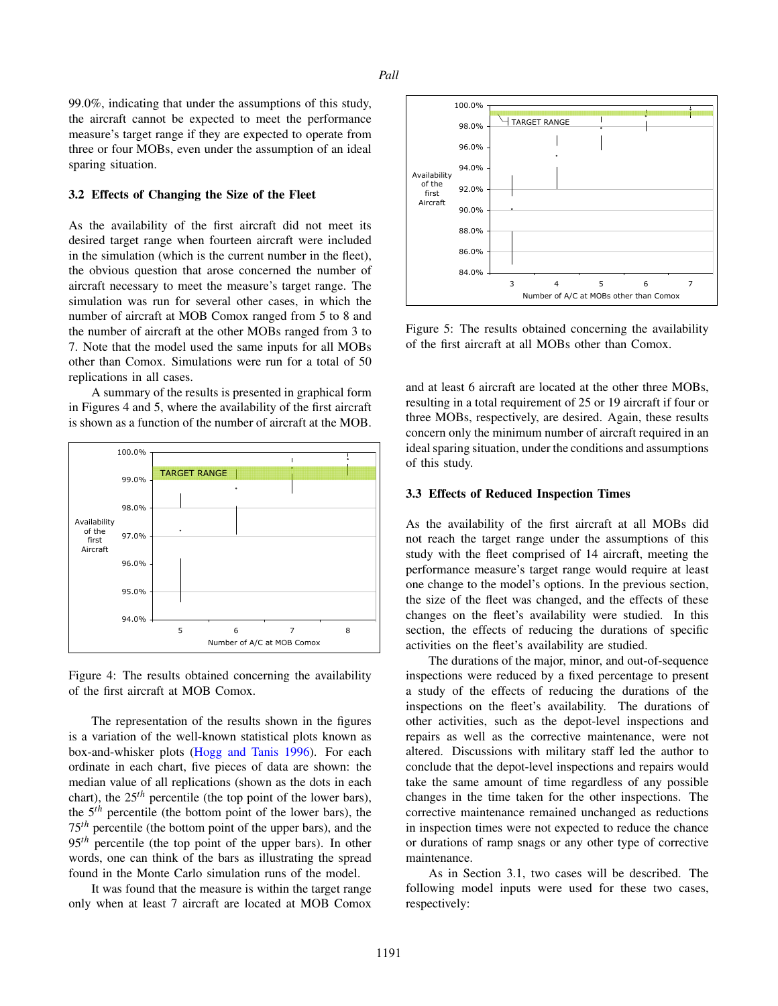99.0%, indicating that under the assumptions of this study, the aircraft cannot be expected to meet the performance measure's target range if they are expected to operate from three or four MOBs, even under the assumption of an ideal sparing situation.

## 3.2 Effects of Changing the Size of the Fleet

As the availability of the first aircraft did not meet its desired target range when fourteen aircraft were included in the simulation (which is the current number in the fleet), the obvious question that arose concerned the number of aircraft necessary to meet the measure's target range. The simulation was run for several other cases, in which the number of aircraft at MOB Comox ranged from 5 to 8 and the number of aircraft at the other MOBs ranged from 3 to 7. Note that the model used the same inputs for all MOBs other than Comox. Simulations were run for a total of 50 replications in all cases.

A summary of the results is presented in graphical form in Figures 4 and 5, where the availability of the first aircraft is shown as a function of the number of aircraft at the MOB.





The representation of the results shown in the figures is a variation of the well-known statistical plots known as box-and-whisker plots (Hogg and Tanis 1996). For each ordinate in each chart, five pieces of data are shown: the median value of all replications (shown as the dots in each chart), the  $25<sup>th</sup>$  percentile (the top point of the lower bars), the 5*th* percentile (the bottom point of the lower bars), the 75*th* percentile (the bottom point of the upper bars), and the 95<sup>th</sup> percentile (the top point of the upper bars). In other words, one can think of the bars as illustrating the spread found in the Monte Carlo simulation runs of the model.

It was found that the measure is within the target range only when at least 7 aircraft are located at MOB Comox



Figure 5: The results obtained concerning the availability of the first aircraft at all MOBs other than Comox.

and at least 6 aircraft are located at the other three MOBs, resulting in a total requirement of 25 or 19 aircraft if four or three MOBs, respectively, are desired. Again, these results concern only the minimum number of aircraft required in an ideal sparing situation, under the conditions and assumptions of this study.

#### 3.3 Effects of Reduced Inspection Times

As the availability of the first aircraft at all MOBs did not reach the target range under the assumptions of this study with the fleet comprised of 14 aircraft, meeting the performance measure's target range would require at least one change to the model's options. In the previous section, the size of the fleet was changed, and the effects of these changes on the fleet's availability were studied. In this section, the effects of reducing the durations of specific activities on the fleet's availability are studied.

The durations of the major, minor, and out-of-sequence inspections were reduced by a fixed percentage to present a study of the effects of reducing the durations of the inspections on the fleet's availability. The durations of other activities, such as the depot-level inspections and repairs as well as the corrective maintenance, were not altered. Discussions with military staff led the author to conclude that the depot-level inspections and repairs would take the same amount of time regardless of any possible changes in the time taken for the other inspections. The corrective maintenance remained unchanged as reductions in inspection times were not expected to reduce the chance or durations of ramp snags or any other type of corrective maintenance.

As in Section 3.1, two cases will be described. The following model inputs were used for these two cases, respectively: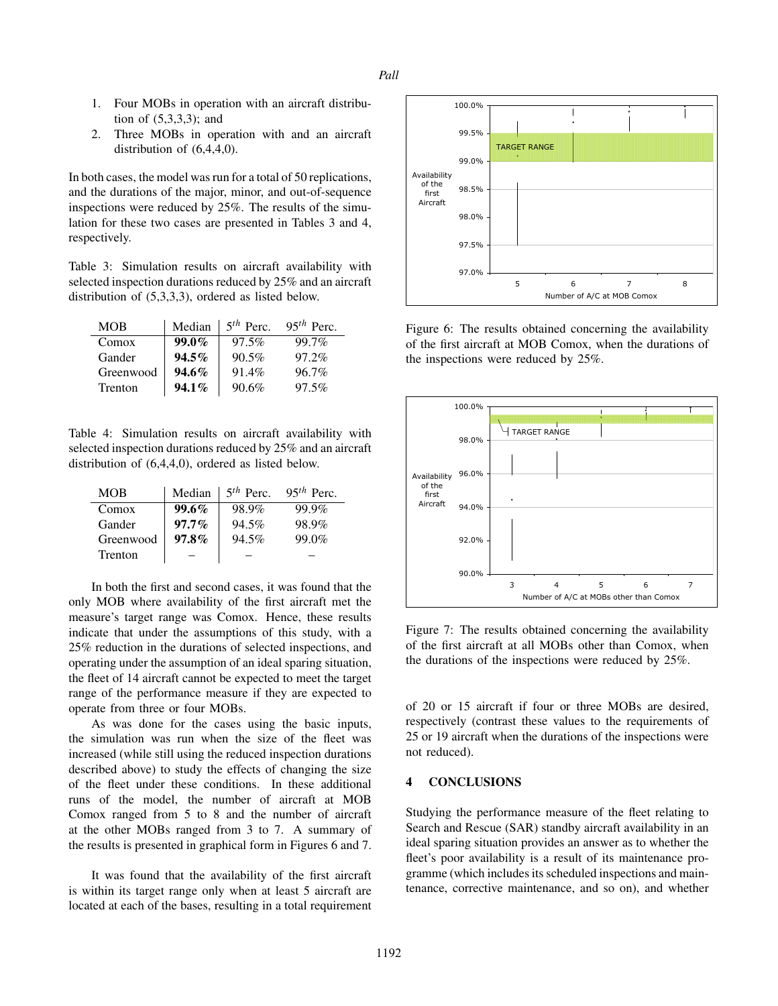- 1. Four MOBs in operation with an aircraft distribution of (5,3,3,3); and
- 2. Three MOBs in operation with and an aircraft distribution of (6,4,4,0).

In both cases, the model was run for a total of 50 replications, and the durations of the major, minor, and out-of-sequence inspections were reduced by 25%. The results of the simulation for these two cases are presented in Tables 3 and 4, respectively.

Table 3: Simulation results on aircraft availability with selected inspection durations reduced by 25% and an aircraft distribution of (5,3,3,3), ordered as listed below.

| <b>MOB</b> | Median   | $5th$ Perc. | $95th$ Perc. |
|------------|----------|-------------|--------------|
| Comox      | $99.0\%$ | 97.5%       | 99.7%        |
| Gander     | $94.5\%$ | 90.5%       | $97.2\%$     |
| Greenwood  | $94.6\%$ | 91.4%       | 96.7%        |
| Trenton    | $94.1\%$ | 90.6%       | 97.5%        |

Table 4: Simulation results on aircraft availability with selected inspection durations reduced by 25% and an aircraft distribution of (6,4,4,0), ordered as listed below.

| <b>MOB</b> | Median   | $5th$ Perc. | $95th$ Perc. |
|------------|----------|-------------|--------------|
| Comox      | $99.6\%$ | 98.9%       | 99.9%        |
| Gander     | $97.7\%$ | 94.5%       | 98.9%        |
| Greenwood  | $97.8\%$ | 94.5%       | 99.0%        |
| Trenton    |          |             |              |

In both the first and second cases, it was found that the only MOB where availability of the first aircraft met the measure's target range was Comox. Hence, these results indicate that under the assumptions of this study, with a 25% reduction in the durations of selected inspections, and operating under the assumption of an ideal sparing situation, the fleet of 14 aircraft cannot be expected to meet the target range of the performance measure if they are expected to operate from three or four MOBs.

As was done for the cases using the basic inputs, the simulation was run when the size of the fleet was increased (while still using the reduced inspection durations described above) to study the effects of changing the size of the fleet under these conditions. In these additional runs of the model, the number of aircraft at MOB Comox ranged from 5 to 8 and the number of aircraft at the other MOBs ranged from 3 to 7. A summary of the results is presented in graphical form in Figures 6 and 7.

It was found that the availability of the first aircraft is within its target range only when at least 5 aircraft are located at each of the bases, resulting in a total requirement



Figure 6: The results obtained concerning the availability of the first aircraft at MOB Comox, when the durations of the inspections were reduced by 25%.



Figure 7: The results obtained concerning the availability of the first aircraft at all MOBs other than Comox, when the durations of the inspections were reduced by 25%.

of 20 or 15 aircraft if four or three MOBs are desired, respectively (contrast these values to the requirements of 25 or 19 aircraft when the durations of the inspections were not reduced).

## 4 CONCLUSIONS

Studying the performance measure of the fleet relating to Search and Rescue (SAR) standby aircraft availability in an ideal sparing situation provides an answer as to whether the fleet's poor availability is a result of its maintenance programme (which includes its scheduled inspections and maintenance, corrective maintenance, and so on), and whether